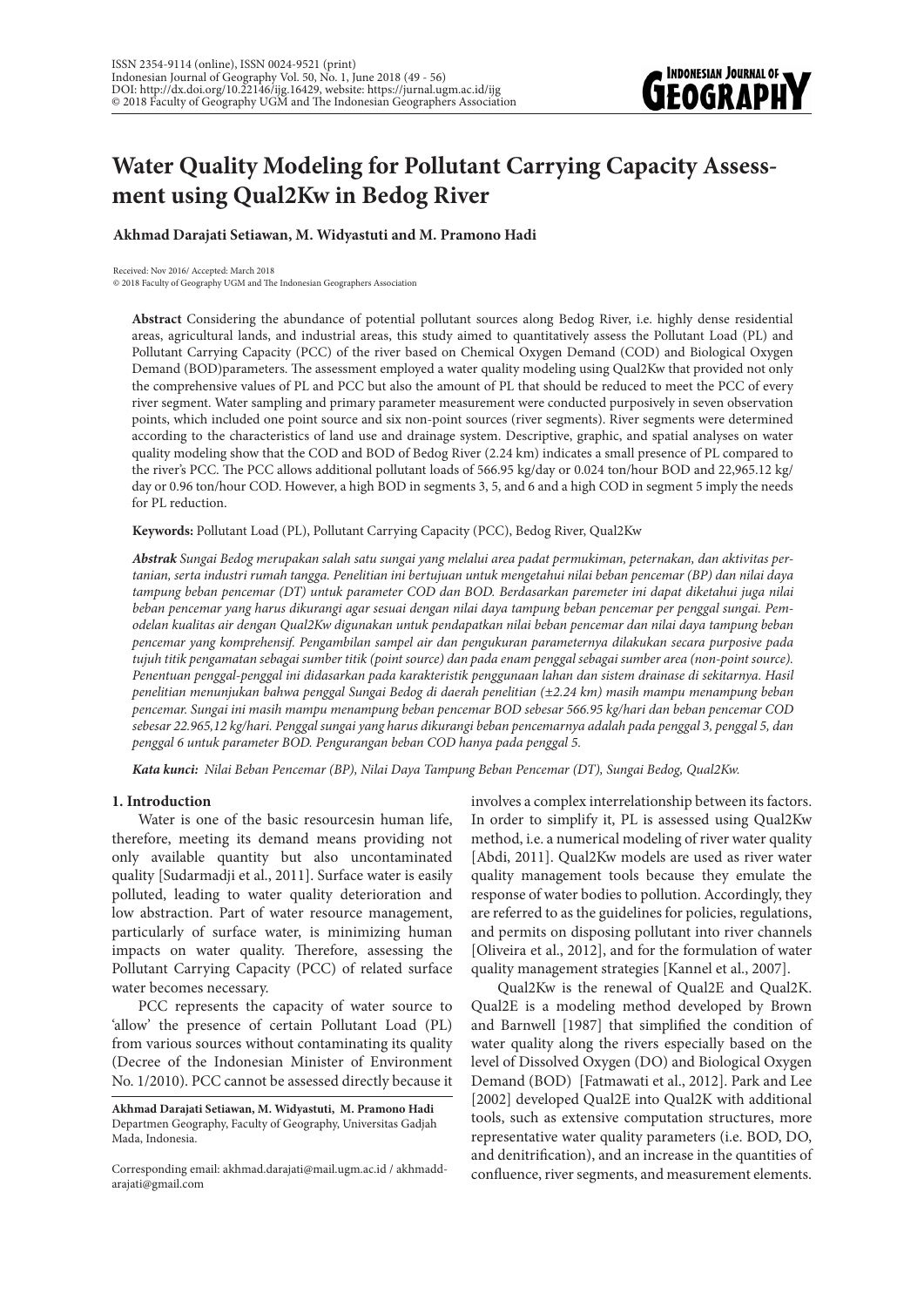

# **Water Quality Modeling for Pollutant Carrying Capacity Assessment using Qual2Kw in Bedog River**

**Akhmad Darajati Setiawan, M. Widyastuti and M. Pramono Hadi** 

Received: Nov 2016/ Accepted: March 2018 © 2018 Faculty of Geography UGM and The Indonesian Geographers Association

**Abstract** Considering the abundance of potential pollutant sources along Bedog River, i.e. highly dense residential areas, agricultural lands, and industrial areas, this study aimed to quantitatively assess the Pollutant Load (PL) and Pollutant Carrying Capacity (PCC) of the river based on Chemical Oxygen Demand (COD) and Biological Oxygen Demand (BOD)parameters. The assessment employed a water quality modeling using Qual2Kw that provided not only the comprehensive values of PL and PCC but also the amount of PL that should be reduced to meet the PCC of every river segment. Water sampling and primary parameter measurement were conducted purposively in seven observation points, which included one point source and six non-point sources (river segments). River segments were determined according to the characteristics of land use and drainage system. Descriptive, graphic, and spatial analyses on water quality modeling show that the COD and BOD of Bedog River (2.24 km) indicates a small presence of PL compared to the river's PCC. The PCC allows additional pollutant loads of 566.95 kg/day or 0.024 ton/hour BOD and 22,965.12 kg/ day or 0.96 ton/hour COD. However, a high BOD in segments 3, 5, and 6 and a high COD in segment 5 imply the needs for PL reduction.

**Keywords:** Pollutant Load (PL), Pollutant Carrying Capacity (PCC), Bedog River, Qual2Kw

*Abstrak Sungai Bedog merupakan salah satu sungai yang melalui area padat permukiman, peternakan, dan aktivitas pertanian, serta industri rumah tangga. Penelitian ini bertujuan untuk mengetahui nilai beban pencemar (BP) dan nilai daya tampung beban pencemar (DT) untuk parameter COD dan BOD. Berdasarkan paremeter ini dapat diketahui juga nilai beban pencemar yang harus dikurangi agar sesuai dengan nilai daya tampung beban pencemar per penggal sungai. Pemodelan kualitas air dengan Qual2Kw digunakan untuk pendapatkan nilai beban pencemar dan nilai daya tampung beban pencemar yang komprehensif. Pengambilan sampel air dan pengukuran parameternya dilakukan secara purposive pada tujuh titik pengamatan sebagai sumber titik (point source) dan pada enam penggal sebagai sumber area (non-point source). Penentuan penggal-penggal ini didasarkan pada karakteristik penggunaan lahan dan sistem drainase di sekitarnya. Hasil penelitian menunjukan bahwa penggal Sungai Bedog di daerah penelitian (±2.24 km) masih mampu menampung beban pencemar. Sungai ini masih mampu menampung beban pencemar BOD sebesar 566.95 kg/hari dan beban pencemar COD sebesar 22.965,12 kg/hari. Penggal sungai yang harus dikurangi beban pencemarnya adalah pada penggal 3, penggal 5, dan penggal 6 untuk parameter BOD. Pengurangan beban COD hanya pada penggal 5.*

*Kata kunci: Nilai Beban Pencemar (BP), Nilai Daya Tampung Beban Pencemar (DT), Sungai Bedog, Qual2Kw.*

## **1. Introduction**

Water is one of the basic resourcesin human life, therefore, meeting its demand means providing not only available quantity but also uncontaminated quality [Sudarmadji et al., 2011]. Surface water is easily polluted, leading to water quality deterioration and low abstraction. Part of water resource management, particularly of surface water, is minimizing human impacts on water quality. Therefore, assessing the Pollutant Carrying Capacity (PCC) of related surface water becomes necessary.

PCC represents the capacity of water source to 'allow' the presence of certain Pollutant Load (PL) from various sources without contaminating its quality (Decree of the Indonesian Minister of Environment No. 1/2010). PCC cannot be assessed directly because it involves a complex interrelationship between its factors. In order to simplify it, PL is assessed using Qual2Kw method, i.e. a numerical modeling of river water quality [Abdi, 2011]. Qual2Kw models are used as river water quality management tools because they emulate the response of water bodies to pollution. Accordingly, they are referred to as the guidelines for policies, regulations, and permits on disposing pollutant into river channels [Oliveira et al., 2012], and for the formulation of water quality management strategies [Kannel et al., 2007].

Qual2Kw is the renewal of Qual2E and Qual2K. Qual2E is a modeling method developed by Brown and Barnwell [1987] that simplified the condition of water quality along the rivers especially based on the level of Dissolved Oxygen (DO) and Biological Oxygen Demand (BOD) [Fatmawati et al., 2012]. Park and Lee [2002] developed Qual2E into Qual2K with additional tools, such as extensive computation structures, more representative water quality parameters (i.e. BOD, DO, and denitrification), and an increase in the quantities of confluence, river segments, and measurement elements.

**Akhmad Darajati Setiawan, M. Widyastuti, M. Pramono Hadi**  Departmen Geography, Faculty of Geography, Universitas Gadjah Mada, Indonesia.

Corresponding email: akhmad.darajati@mail.ugm.ac.id / akhmaddarajati@gmail.com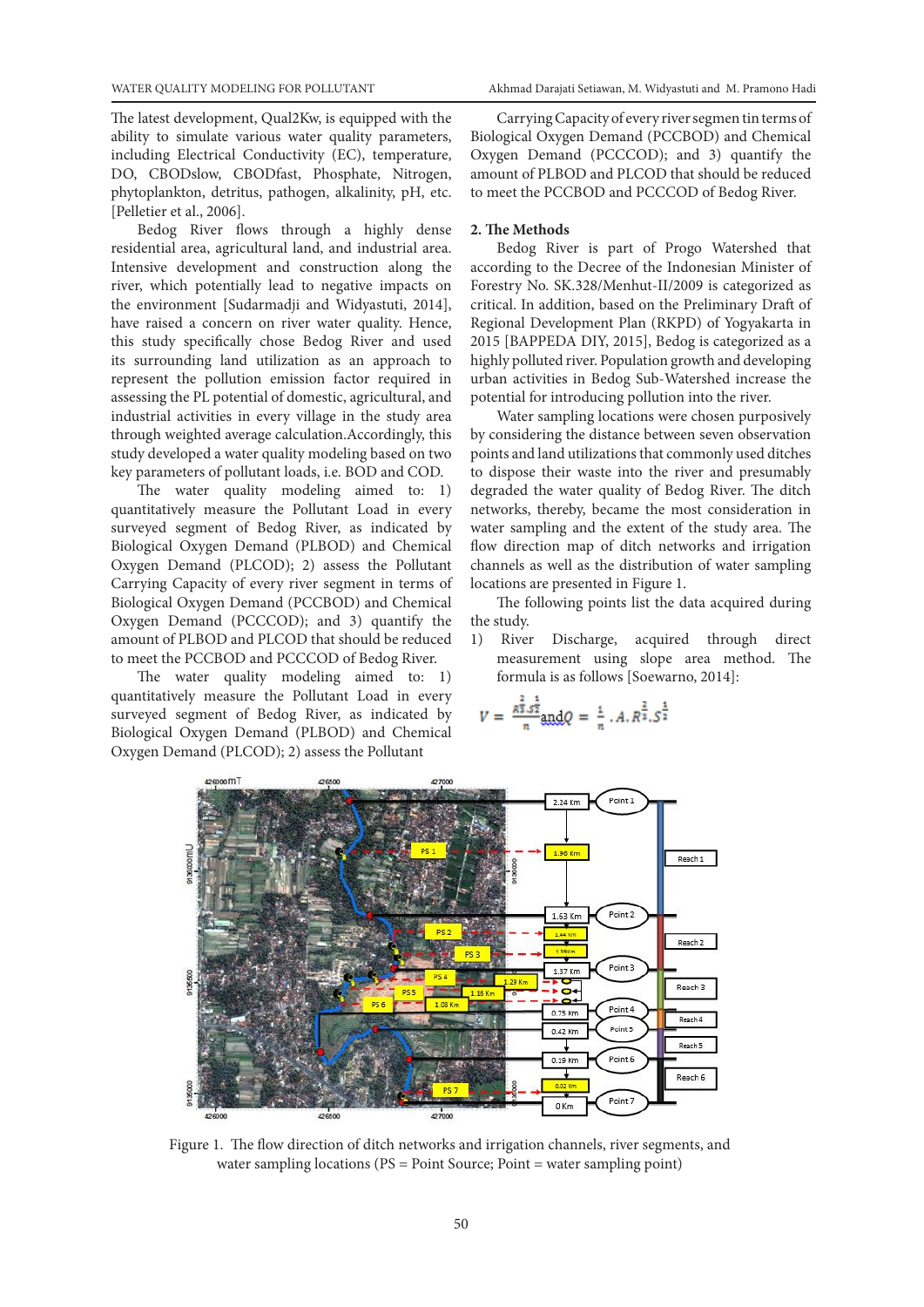The latest development, Qual2Kw, is equipped with the ability to simulate various water quality parameters, including Electrical Conductivity (EC), temperature, DO, CBODslow, CBODfast, Phosphate, Nitrogen, phytoplankton, detritus, pathogen, alkalinity, pH, etc. [Pelletier et al., 2006].

Bedog River flows through a highly dense residential area, agricultural land, and industrial area. Intensive development and construction along the river, which potentially lead to negative impacts on the environment [Sudarmadji and Widyastuti, 2014], have raised a concern on river water quality. Hence, this study specifically chose Bedog River and used its surrounding land utilization as an approach to represent the pollution emission factor required in assessing the PL potential of domestic, agricultural, and industrial activities in every village in the study area through weighted average calculation.Accordingly, this study developed a water quality modeling based on two key parameters of pollutant loads, i.e. BOD and COD.

The water quality modeling aimed to: 1) quantitatively measure the Pollutant Load in every surveyed segment of Bedog River, as indicated by Biological Oxygen Demand (PLBOD) and Chemical Oxygen Demand (PLCOD); 2) assess the Pollutant Carrying Capacity of every river segment in terms of Biological Oxygen Demand (PCCBOD) and Chemical Oxygen Demand (PCCCOD); and 3) quantify the amount of PLBOD and PLCOD that should be reduced to meet the PCCBOD and PCCCOD of Bedog River.

The water quality modeling aimed to: 1) quantitatively measure the Pollutant Load in every surveyed segment of Bedog River, as indicated by Biological Oxygen Demand (PLBOD) and Chemical Oxygen Demand (PLCOD); 2) assess the Pollutant

Carrying Capacity of every river segmen tin terms of Biological Oxygen Demand (PCCBOD) and Chemical Oxygen Demand (PCCCOD); and 3) quantify the amount of PLBOD and PLCOD that should be reduced to meet the PCCBOD and PCCCOD of Bedog River.

#### **2. The Methods**

Bedog River is part of Progo Watershed that according to the Decree of the Indonesian Minister of Forestry No. SK.328/Menhut-II/2009 is categorized as critical. In addition, based on the Preliminary Draft of Regional Development Plan (RKPD) of Yogyakarta in 2015 [BAPPEDA DIY, 2015], Bedog is categorized as a highly polluted river. Population growth and developing urban activities in Bedog Sub-Watershed increase the potential for introducing pollution into the river.

Water sampling locations were chosen purposively by considering the distance between seven observation points and land utilizations that commonly used ditches to dispose their waste into the river and presumably degraded the water quality of Bedog River. The ditch networks, thereby, became the most consideration in water sampling and the extent of the study area. The flow direction map of ditch networks and irrigation channels as well as the distribution of water sampling locations are presented in Figure 1.

The following points list the data acquired during the study.

1) River Discharge, acquired through direct measurement using slope area method. The formula is as follows [Soewarno, 2014]:

$$
V = \frac{\bar{\kappa}^{\frac{2}{3}} . \bar{s}^{\frac{1}{2}}}{n} \text{and} Q = \frac{1}{n} . A. R^{\frac{2}{3}} . S^{\frac{1}{2}}
$$



Figure 1. The flow direction of ditch networks and irrigation channels, river segments, and water sampling locations (PS = Point Source; Point = water sampling point)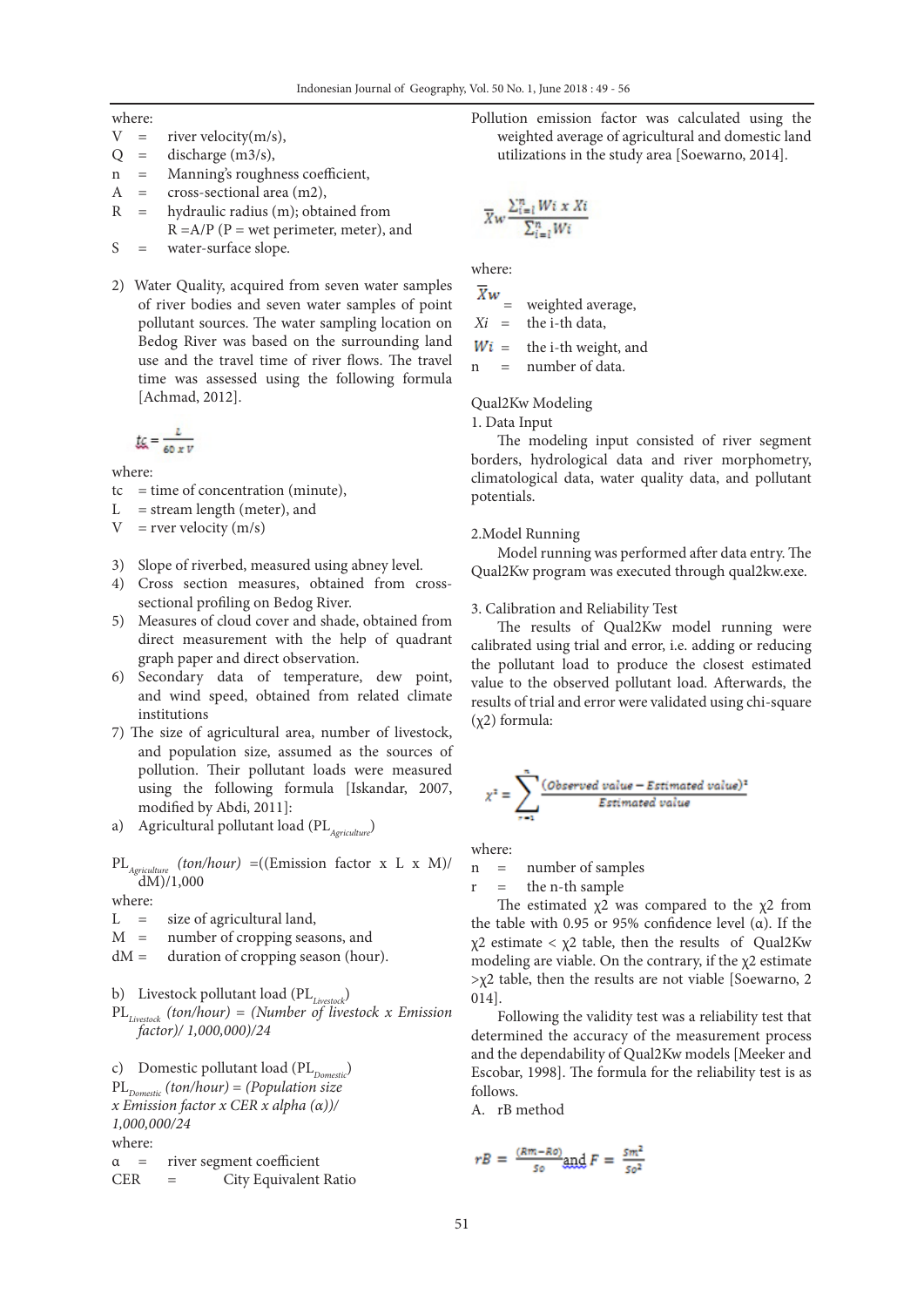where:

- $V =$  river velocity(m/s),
- $Q =$  discharge (m3/s),
- n = Manning's roughness coefficient,
- A = cross-sectional area (m2),
- R = hydraulic radius (m); obtained from  $R = A/P$  (P = wet perimeter, meter), and
- S = water-surface slope.
- 2) Water Quality, acquired from seven water samples of river bodies and seven water samples of point pollutant sources. The water sampling location on Bedog River was based on the surrounding land use and the travel time of river flows. The travel time was assessed using the following formula [Achmad, 2012].

$$
\underbrace{t\zeta} = \frac{L}{60 \times V}
$$

where:

- $tc = time of concentration (minute),$
- $L =$  stream length (meter), and
- $V = rver velocity (m/s)$
- 3) Slope of riverbed, measured using abney level.
- 4) Cross section measures, obtained from crosssectional profiling on Bedog River.
- 5) Measures of cloud cover and shade, obtained from direct measurement with the help of quadrant graph paper and direct observation.
- 6) Secondary data of temperature, dew point, and wind speed, obtained from related climate institutions
- 7) The size of agricultural area, number of livestock, and population size, assumed as the sources of pollution. Their pollutant loads were measured using the following formula [Iskandar, 2007, modified by Abdi, 2011]:
- a) Agricultural pollutant load (PL<sub>Agriculture</sub>)

$$
PL_{Agriculture}(ton/hour) = ((Emission factor x L x M)/dM)/1,000
$$

where:

- $L =$  size of agricultural land,
- M = number of cropping seasons, and
- dM = duration of cropping season (hour).
- b) Livestock pollutant load (PL*Livestock*)
- PL*Livestock (ton/hour)* = *(Number of livestock x Emission factor)/ 1,000,000)/24*

c) Domestic pollutant load (PL<sub>Domestic</sub>) PL*Domestic (ton/hour)* = *(Population size x Emission factor x CER x alpha (α))/ 1,000,000/24* where:

α = river segment coefficient

CER = City Equivalent Ratio

Pollution emission factor was calculated using the weighted average of agricultural and domestic land utilizations in the study area [Soewarno, 2014].

$$
\overline{X}w \frac{\sum_{i=1}^{n} W_i \times X_i}{\sum_{i=1}^{n} W_i}
$$

where:

 $\overline{X}w$ weighted average,

 $Xi =$  the i-th data,

 $Wi =$  the i-th weight, and

n = number of data.

Qual2Kw Modeling

1. Data Input

The modeling input consisted of river segment borders, hydrological data and river morphometry, climatological data, water quality data, and pollutant potentials.

## 2.Model Running

Model running was performed after data entry. The Qual2Kw program was executed through qual2kw.exe.

#### 3. Calibration and Reliability Test

The results of Qual2Kw model running were calibrated using trial and error, i.e. adding or reducing the pollutant load to produce the closest estimated value to the observed pollutant load. Afterwards, the results of trial and error were validated using chi-square (χ2) formula:

$$
\chi^2 = \sum_{r=1}^{n} \frac{(Observed value - Estimated value)^2}{Estimated value}
$$

where:

n = number of samples

 $r =$  the n-th sample

The estimated  $\chi$ 2 was compared to the  $\chi$ 2 from the table with 0.95 or 95% confidence level (α). If the χ2 estimate < χ2 table, then the results of Qual2Kw modeling are viable. On the contrary, if the  $\chi$ 2 estimate  $>\chi$ 2 table, then the results are not viable [Soewarno, 2 014].

Following the validity test was a reliability test that determined the accuracy of the measurement process and the dependability of Qual2Kw models [Meeker and Escobar, 1998]. The formula for the reliability test is as follows.

A. rB method

$$
rB = \frac{(Rm - Ro)}{50} \text{and } F = \frac{Sm^2}{50^2}
$$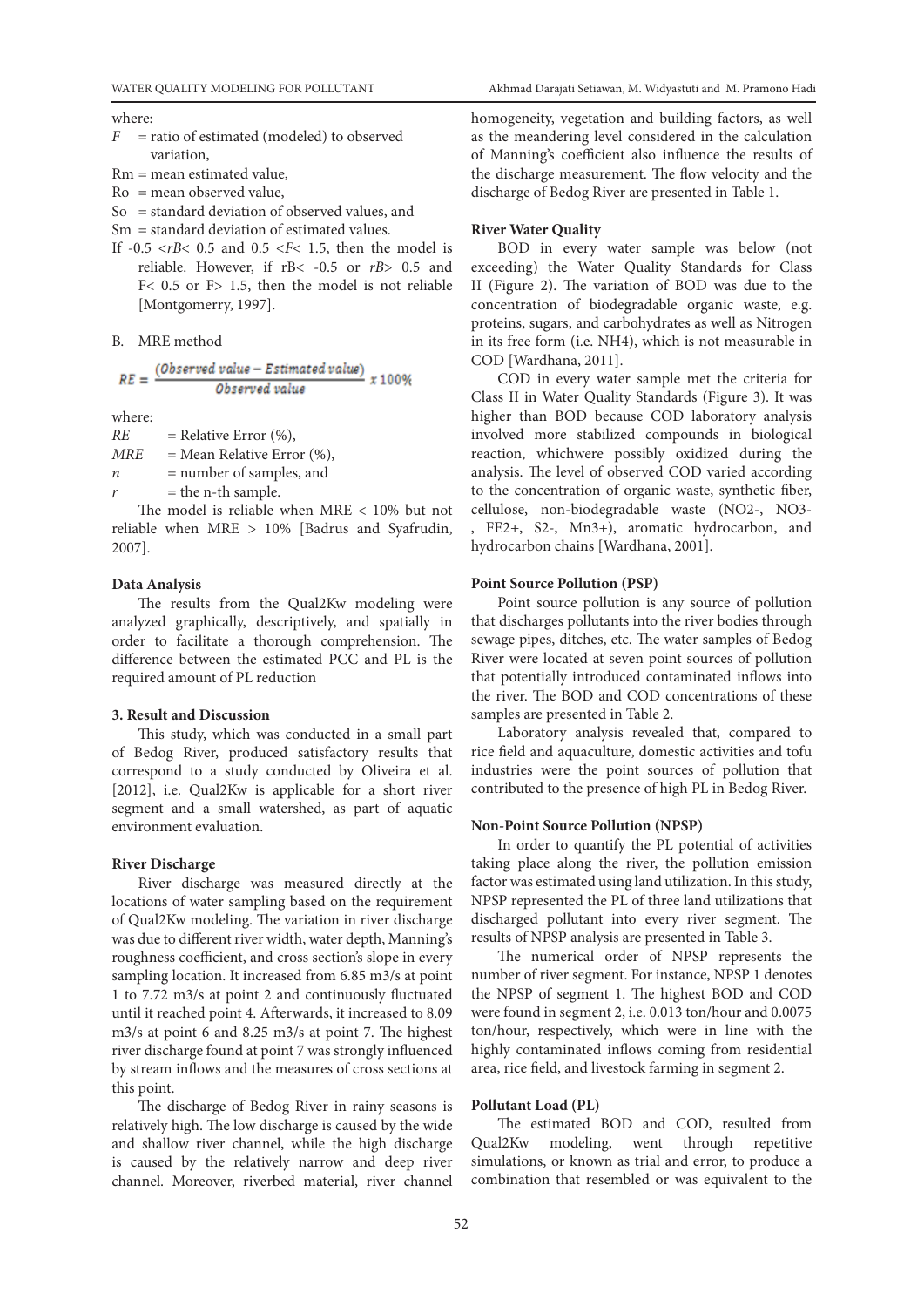where:

- *F* = ratio of estimated (modeled) to observed variation,
- Rm = mean estimated value,
- Ro = mean observed value,
- So = standard deviation of observed values, and
- Sm = standard deviation of estimated values.
- If  $-0.5 \lt rB \lt 0.5$  and  $0.5 \lt F \lt 1.5$ , then the model is reliable. However, if rB< -0.5 or *rB*> 0.5 and F< 0.5 or F> 1.5, then the model is not reliable [Montgomerry, 1997].

B. MRE method

$$
RE = \frac{(Observed value - Estimated value)}{Observed value} \times 100\%
$$

where:

 $RE = Relative Error (%)$ ,  $MRE$  = Mean Relative Error  $(\%)$ , *n* = number of samples, and

= the n-th sample.

The model is reliable when MRE < 10% but not reliable when MRE > 10% [Badrus and Syafrudin, 2007].

# **Data Analysis**

The results from the Qual2Kw modeling were analyzed graphically, descriptively, and spatially in order to facilitate a thorough comprehension. The difference between the estimated PCC and PL is the required amount of PL reduction

#### **3. Result and Discussion**

This study, which was conducted in a small part of Bedog River, produced satisfactory results that correspond to a study conducted by Oliveira et al. [2012], i.e. Qual2Kw is applicable for a short river segment and a small watershed, as part of aquatic environment evaluation.

### **River Discharge**

River discharge was measured directly at the locations of water sampling based on the requirement of Qual2Kw modeling. The variation in river discharge was due to different river width, water depth, Manning's roughness coefficient, and cross section's slope in every sampling location. It increased from 6.85 m3/s at point 1 to 7.72 m3/s at point 2 and continuously fluctuated until it reached point 4. Afterwards, it increased to 8.09 m3/s at point 6 and 8.25 m3/s at point 7. The highest river discharge found at point 7 was strongly influenced by stream inflows and the measures of cross sections at this point.

The discharge of Bedog River in rainy seasons is relatively high. The low discharge is caused by the wide and shallow river channel, while the high discharge is caused by the relatively narrow and deep river channel. Moreover, riverbed material, river channel

homogeneity, vegetation and building factors, as well as the meandering level considered in the calculation of Manning's coefficient also influence the results of the discharge measurement. The flow velocity and the discharge of Bedog River are presented in Table 1.

### **River Water Quality**

BOD in every water sample was below (not exceeding) the Water Quality Standards for Class II (Figure 2). The variation of BOD was due to the concentration of biodegradable organic waste, e.g. proteins, sugars, and carbohydrates as well as Nitrogen in its free form (i.e. NH4), which is not measurable in COD [Wardhana, 2011].

COD in every water sample met the criteria for Class II in Water Quality Standards (Figure 3). It was higher than BOD because COD laboratory analysis involved more stabilized compounds in biological reaction, whichwere possibly oxidized during the analysis. The level of observed COD varied according to the concentration of organic waste, synthetic fiber, cellulose, non-biodegradable waste (NO2-, NO3-

, FE2+, S2-, Mn3+), aromatic hydrocarbon, and hydrocarbon chains [Wardhana, 2001].

# **Point Source Pollution (PSP)**

Point source pollution is any source of pollution that discharges pollutants into the river bodies through sewage pipes, ditches, etc. The water samples of Bedog River were located at seven point sources of pollution that potentially introduced contaminated inflows into the river. The BOD and COD concentrations of these samples are presented in Table 2.

Laboratory analysis revealed that, compared to rice field and aquaculture, domestic activities and tofu industries were the point sources of pollution that contributed to the presence of high PL in Bedog River.

#### **Non-Point Source Pollution (NPSP)**

In order to quantify the PL potential of activities taking place along the river, the pollution emission factor was estimated using land utilization. In this study, NPSP represented the PL of three land utilizations that discharged pollutant into every river segment. The results of NPSP analysis are presented in Table 3.

The numerical order of NPSP represents the number of river segment. For instance, NPSP 1 denotes the NPSP of segment 1. The highest BOD and COD were found in segment 2, i.e. 0.013 ton/hour and 0.0075 ton/hour, respectively, which were in line with the highly contaminated inflows coming from residential area, rice field, and livestock farming in segment 2.

# **Pollutant Load (PL)**

The estimated BOD and COD, resulted from Qual2Kw modeling, went through repetitive simulations, or known as trial and error, to produce a combination that resembled or was equivalent to the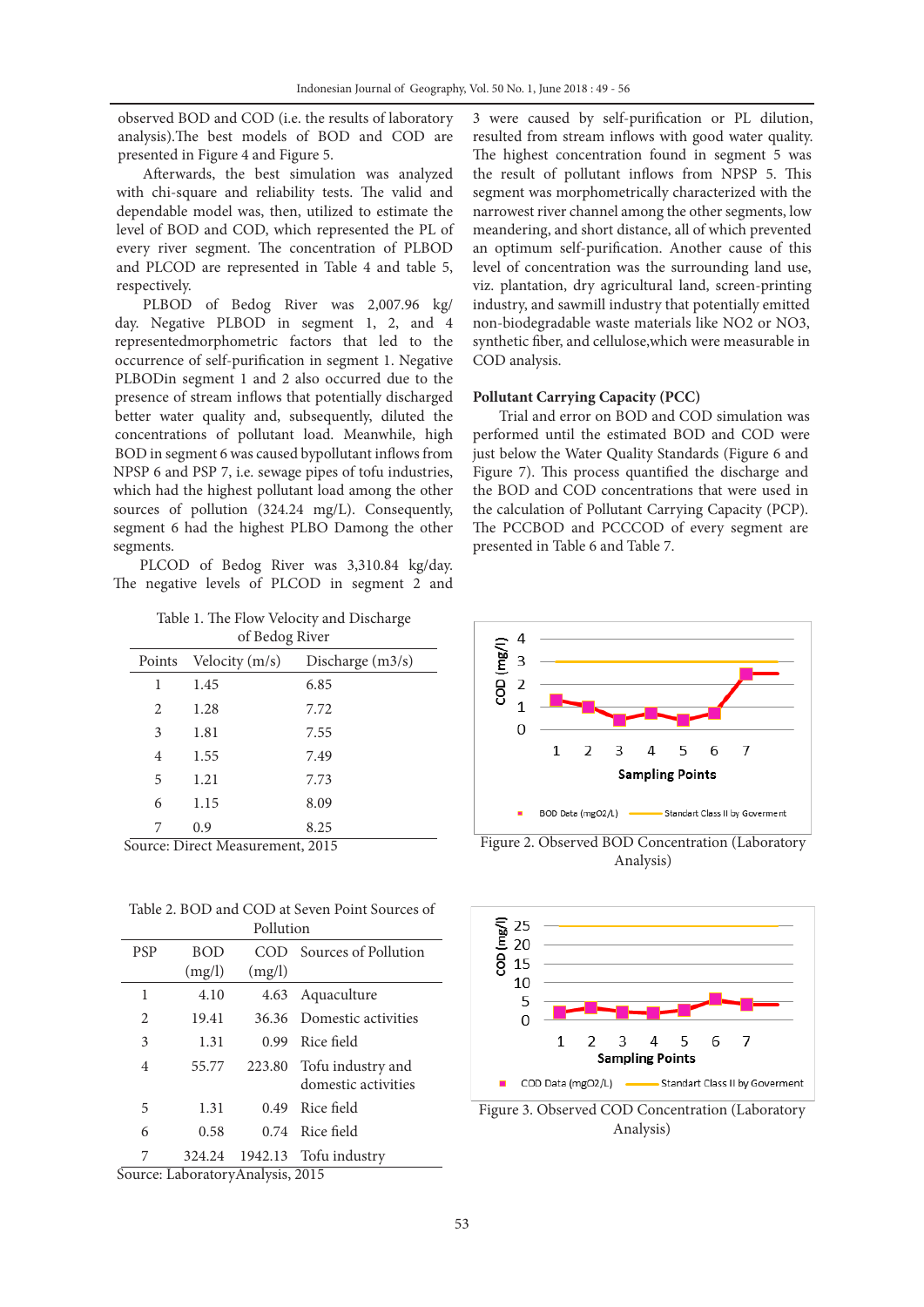observed BOD and COD (i.e. the results of laboratory analysis).The best models of BOD and COD are presented in Figure 4 and Figure 5.

Afterwards, the best simulation was analyzed with chi-square and reliability tests. The valid and dependable model was, then, utilized to estimate the level of BOD and COD, which represented the PL of every river segment. The concentration of PLBOD and PLCOD are represented in Table 4 and table 5, respectively.

PLBOD of Bedog River was 2,007.96 kg/ day. Negative PLBOD in segment 1, 2, and 4 representedmorphometric factors that led to the occurrence of self-purification in segment 1. Negative PLBODin segment 1 and 2 also occurred due to the presence of stream inflows that potentially discharged better water quality and, subsequently, diluted the concentrations of pollutant load. Meanwhile, high BOD in segment 6 was caused bypollutant inflows from NPSP 6 and PSP 7, i.e. sewage pipes of tofu industries, which had the highest pollutant load among the other sources of pollution (324.24 mg/L). Consequently, segment 6 had the highest PLBO Damong the other segments.

PLCOD of Bedog River was 3,310.84 kg/day. The negative levels of PLCOD in segment 2 and

Table 1. The Flow Velocity and Discharge of Bedog River

| $\alpha$ because $\beta$ and $\beta$ |                  |                    |  |
|--------------------------------------|------------------|--------------------|--|
| Points                               | Velocity $(m/s)$ | Discharge $(m3/s)$ |  |
| 1                                    | 1.45             | 6.85               |  |
| 2                                    | 1.28             | 7.72               |  |
| 3                                    | 1.81             | 7.55               |  |
| 4                                    | 1.55             | 7.49               |  |
| 5                                    | 1.21             | 7.73               |  |
| 6                                    | 1.15             | 8.09               |  |
| 7                                    | 0.9              | 8.25               |  |

Table 2. BOD and COD at Seven Point Sources of Pollution

| , ,,,,,,,,,,, |            |        |                           |  |
|---------------|------------|--------|---------------------------|--|
| <b>PSP</b>    | <b>BOD</b> | COD    | Sources of Pollution      |  |
|               | (mg/l)     | (mg/l) |                           |  |
| 1             | 4.10       |        | 4.63 Aquaculture          |  |
| 2             | 19.41      |        | 36.36 Domestic activities |  |
| 3             | 1.31       | 0.99   | Rice field                |  |
| 4             | 55.77      |        | 223.80 Tofu industry and  |  |
|               |            |        | domestic activities       |  |
| 5             | 1.31       | 0.49   | Rice field                |  |
| 6             | 0.58       |        | 0.74 Rice field           |  |
| 7             | 324.24     |        | 1942.13 Tofu industry     |  |

Source: LaboratoryAnalysis, 2015

3 were caused by self-purification or PL dilution, resulted from stream inflows with good water quality. The highest concentration found in segment 5 was the result of pollutant inflows from NPSP 5. This segment was morphometrically characterized with the narrowest river channel among the other segments, low meandering, and short distance, all of which prevented an optimum self-purification. Another cause of this level of concentration was the surrounding land use, viz. plantation, dry agricultural land, screen-printing industry, and sawmill industry that potentially emitted non-biodegradable waste materials like NO2 or NO3, synthetic fiber, and cellulose,which were measurable in COD analysis.

# **Pollutant Carrying Capacity (PCC)**

Trial and error on BOD and COD simulation was performed until the estimated BOD and COD were just below the Water Quality Standards (Figure 6 and Figure 7). This process quantified the discharge and the BOD and COD concentrations that were used in the calculation of Pollutant Carrying Capacity (PCP). The PCCBOD and PCCCOD of every segment are presented in Table 6 and Table 7.



Source: Direct Measurement, 2015 Figure 2. Observed BOD Concentration (Laboratory Analysis)



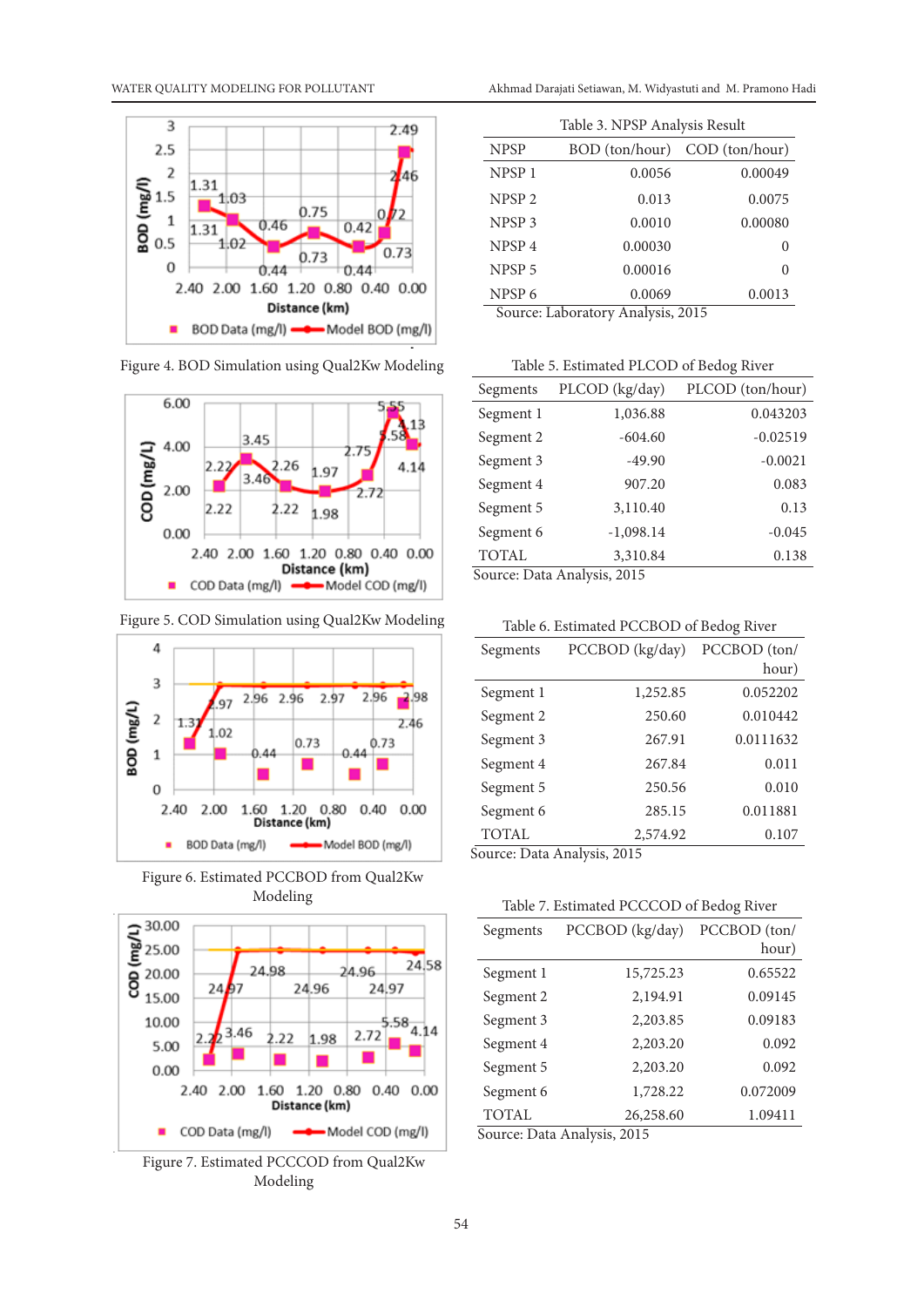

Figure 4. BOD Simulation using Qual2Kw Modeling



Figure 5. COD Simulation using Qual2Kw Modeling



Figure 6. Estimated PCCBOD from Qual2Kw Modeling



Figure 7. Estimated PCCCOD from Qual2Kw Modeling

| Table 3. NPSP Analysis Result   |                                                                             |                                    |  |
|---------------------------------|-----------------------------------------------------------------------------|------------------------------------|--|
| <b>NPSP</b>                     |                                                                             | BOD (ton/hour) COD (ton/hour)      |  |
| NPSP <sub>1</sub>               | 0.0056                                                                      | 0.00049                            |  |
| NPSP <sub>2</sub>               | 0.013                                                                       | 0.0075                             |  |
| NPSP <sub>3</sub>               | 0.0010                                                                      | 0.00080                            |  |
| NPSP <sub>4</sub>               | 0.00030                                                                     | 0                                  |  |
| NPSP <sub>5</sub>               | 0.00016                                                                     | 0                                  |  |
| NPSP <sub>6</sub><br>$\sqrt{2}$ | 0.0069<br>$\mathbf{1}$<br>$1 \cdot$<br>т.<br>$\ddot{\phantom{a}}$<br>$\sim$ | 0.0013<br>$\sim$ $\sim$ $+$ $\sim$ |  |

Source: Laboratory Analysis, 2015

Table 5. Estimated PLCOD of Bedog River

| Segments                    | PLCOD (kg/day) | PLCOD (ton/hour) |
|-----------------------------|----------------|------------------|
| Segment 1                   | 1,036.88       | 0.043203         |
| Segment 2                   | $-604.60$      | $-0.02519$       |
| Segment 3                   | $-49.90$       | $-0.0021$        |
| Segment 4                   | 907.20         | 0.083            |
| Segment 5                   | 3,110.40       | 0.13             |
| Segment 6                   | $-1,098.14$    | $-0.045$         |
| <b>TOTAL</b>                | 3,310.84       | 0.138            |
| Source: Data Analysis, 2015 |                |                  |

Table 6. Estimated PCCBOD of Bedog River

| Table 0. Estimated PCCDOD of Dedog Kivel |                                                                         |              |
|------------------------------------------|-------------------------------------------------------------------------|--------------|
| Segments                                 | PCCBOD (kg/day)                                                         | PCCBOD (ton/ |
|                                          |                                                                         | hour)        |
| Segment 1                                | 1,252.85                                                                | 0.052202     |
| Segment 2                                | 250.60                                                                  | 0.010442     |
| Segment 3                                | 267.91                                                                  | 0.0111632    |
| Segment 4                                | 267.84                                                                  | 0.011        |
| Segment 5                                | 250.56                                                                  | 0.010        |
| Segment 6                                | 285.15                                                                  | 0.011881     |
| <b>TOTAL</b>                             | 2,574.92                                                                | 0.107        |
|                                          | $\mathbf{I}$<br>$\cdot$<br>$\sim$ $\sim$<br>$\sim$ $\sim$ $\sim$ $\sim$ |              |

Source: Data Analysis, 2015

# Table 7. Estimated PCCCOD of Bedog River

| PCCBOD (kg/day) | PCCBOD (ton/ |  |
|-----------------|--------------|--|
|                 | hour)        |  |
| 15,725.23       | 0.65522      |  |
| 2,194.91        | 0.09145      |  |
| 2,203.85        | 0.09183      |  |
| 2,203.20        | 0.092        |  |
| 2,203.20        | 0.092        |  |
| 1,728.22        | 0.072009     |  |
| 26,258.60       | 1.09411      |  |
|                 | $\mathbf{r}$ |  |

Source: Data Analysis, 2015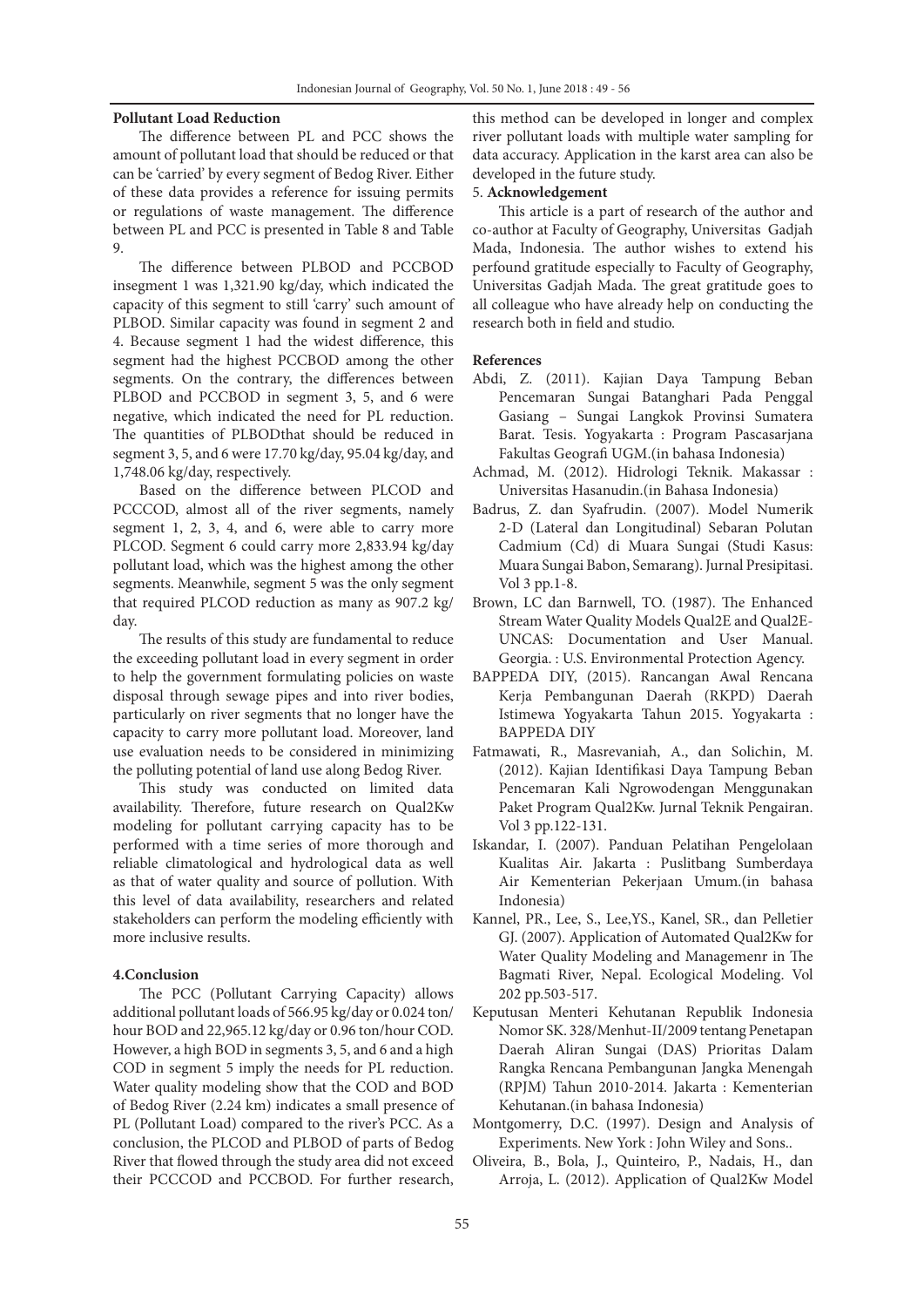# **Pollutant Load Reduction**

The difference between PL and PCC shows the amount of pollutant load that should be reduced or that can be 'carried' by every segment of Bedog River. Either of these data provides a reference for issuing permits or regulations of waste management. The difference between PL and PCC is presented in Table 8 and Table 9.

The difference between PLBOD and PCCBOD insegment 1 was 1,321.90 kg/day, which indicated the capacity of this segment to still 'carry' such amount of PLBOD. Similar capacity was found in segment 2 and 4. Because segment 1 had the widest difference, this segment had the highest PCCBOD among the other segments. On the contrary, the differences between PLBOD and PCCBOD in segment 3, 5, and 6 were negative, which indicated the need for PL reduction. The quantities of PLBODthat should be reduced in segment 3, 5, and 6 were 17.70 kg/day, 95.04 kg/day, and 1,748.06 kg/day, respectively.

Based on the difference between PLCOD and PCCCOD, almost all of the river segments, namely segment 1, 2, 3, 4, and 6, were able to carry more PLCOD. Segment 6 could carry more 2,833.94 kg/day pollutant load, which was the highest among the other segments. Meanwhile, segment 5 was the only segment that required PLCOD reduction as many as 907.2 kg/ day.

The results of this study are fundamental to reduce the exceeding pollutant load in every segment in order to help the government formulating policies on waste disposal through sewage pipes and into river bodies, particularly on river segments that no longer have the capacity to carry more pollutant load. Moreover, land use evaluation needs to be considered in minimizing the polluting potential of land use along Bedog River.

This study was conducted on limited data availability. Therefore, future research on Qual2Kw modeling for pollutant carrying capacity has to be performed with a time series of more thorough and reliable climatological and hydrological data as well as that of water quality and source of pollution. With this level of data availability, researchers and related stakeholders can perform the modeling efficiently with more inclusive results.

# **4.Conclusion**

The PCC (Pollutant Carrying Capacity) allows additional pollutant loads of 566.95 kg/day or 0.024 ton/ hour BOD and 22,965.12 kg/day or 0.96 ton/hour COD. However, a high BOD in segments 3, 5, and 6 and a high COD in segment 5 imply the needs for PL reduction. Water quality modeling show that the COD and BOD of Bedog River (2.24 km) indicates a small presence of PL (Pollutant Load) compared to the river's PCC. As a conclusion, the PLCOD and PLBOD of parts of Bedog River that flowed through the study area did not exceed their PCCCOD and PCCBOD. For further research,

this method can be developed in longer and complex river pollutant loads with multiple water sampling for data accuracy. Application in the karst area can also be developed in the future study.

## 5. **Acknowledgement**

This article is a part of research of the author and co-author at Faculty of Geography, Universitas Gadjah Mada, Indonesia. The author wishes to extend his perfound gratitude especially to Faculty of Geography, Universitas Gadjah Mada. The great gratitude goes to all colleague who have already help on conducting the research both in field and studio.

#### **References**

- Abdi, Z. (2011). Kajian Daya Tampung Beban Pencemaran Sungai Batanghari Pada Penggal Gasiang – Sungai Langkok Provinsi Sumatera Barat. Tesis. Yogyakarta : Program Pascasarjana Fakultas Geografi UGM.(in bahasa Indonesia)
- Achmad, M. (2012). Hidrologi Teknik. Makassar : Universitas Hasanudin.(in Bahasa Indonesia)
- Badrus, Z. dan Syafrudin. (2007). Model Numerik 2-D (Lateral dan Longitudinal) Sebaran Polutan Cadmium (Cd) di Muara Sungai (Studi Kasus: Muara Sungai Babon, Semarang). Jurnal Presipitasi. Vol 3 pp.1-8.
- Brown, LC dan Barnwell, TO. (1987). The Enhanced Stream Water Quality Models Qual2E and Qual2E-UNCAS: Documentation and User Manual. Georgia. : U.S. Environmental Protection Agency.
- BAPPEDA DIY, (2015). Rancangan Awal Rencana Kerja Pembangunan Daerah (RKPD) Daerah Istimewa Yogyakarta Tahun 2015. Yogyakarta : BAPPEDA DIY
- Fatmawati, R., Masrevaniah, A., dan Solichin, M. (2012). Kajian Identifikasi Daya Tampung Beban Pencemaran Kali Ngrowodengan Menggunakan Paket Program Qual2Kw. Jurnal Teknik Pengairan. Vol 3 pp.122-131.
- Iskandar, I. (2007). Panduan Pelatihan Pengelolaan Kualitas Air. Jakarta : Puslitbang Sumberdaya Air Kementerian Pekerjaan Umum.(in bahasa Indonesia)
- Kannel, PR., Lee, S., Lee,YS., Kanel, SR., dan Pelletier GJ. (2007). Application of Automated Qual2Kw for Water Quality Modeling and Managemenr in The Bagmati River, Nepal. Ecological Modeling. Vol 202 pp.503-517.
- Keputusan Menteri Kehutanan Republik Indonesia Nomor SK. 328/Menhut-II/2009 tentang Penetapan Daerah Aliran Sungai (DAS) Prioritas Dalam Rangka Rencana Pembangunan Jangka Menengah (RPJM) Tahun 2010-2014. Jakarta : Kementerian Kehutanan.(in bahasa Indonesia)
- Montgomerry, D.C. (1997). Design and Analysis of Experiments. New York : John Wiley and Sons..
- Oliveira, B., Bola, J., Quinteiro, P., Nadais, H., dan Arroja, L. (2012). Application of Qual2Kw Model